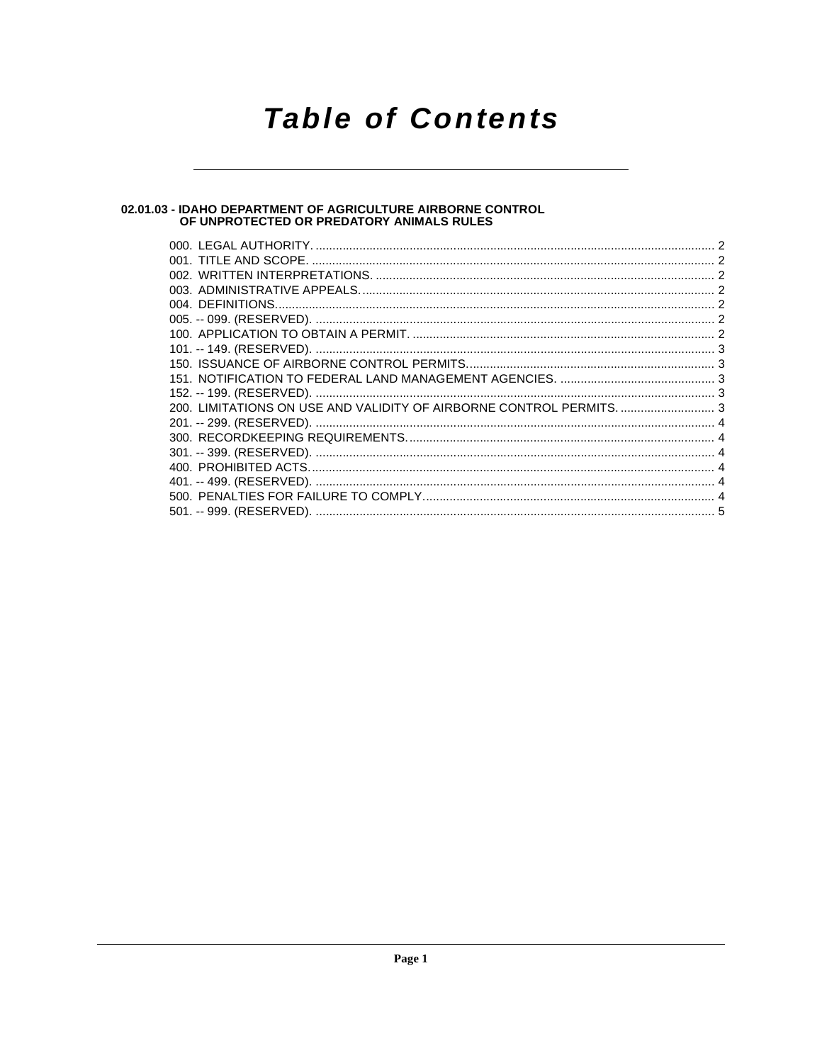# **Table of Contents**

# 02.01.03 - IDAHO DEPARTMENT OF AGRICULTURE AIRBORNE CONTROL<br>OF UNPROTECTED OR PREDATORY ANIMALS RULES

| 200. LIMITATIONS ON USE AND VALIDITY OF AIRBORNE CONTROL PERMITS.  3 |  |
|----------------------------------------------------------------------|--|
|                                                                      |  |
|                                                                      |  |
|                                                                      |  |
|                                                                      |  |
|                                                                      |  |
|                                                                      |  |
|                                                                      |  |
|                                                                      |  |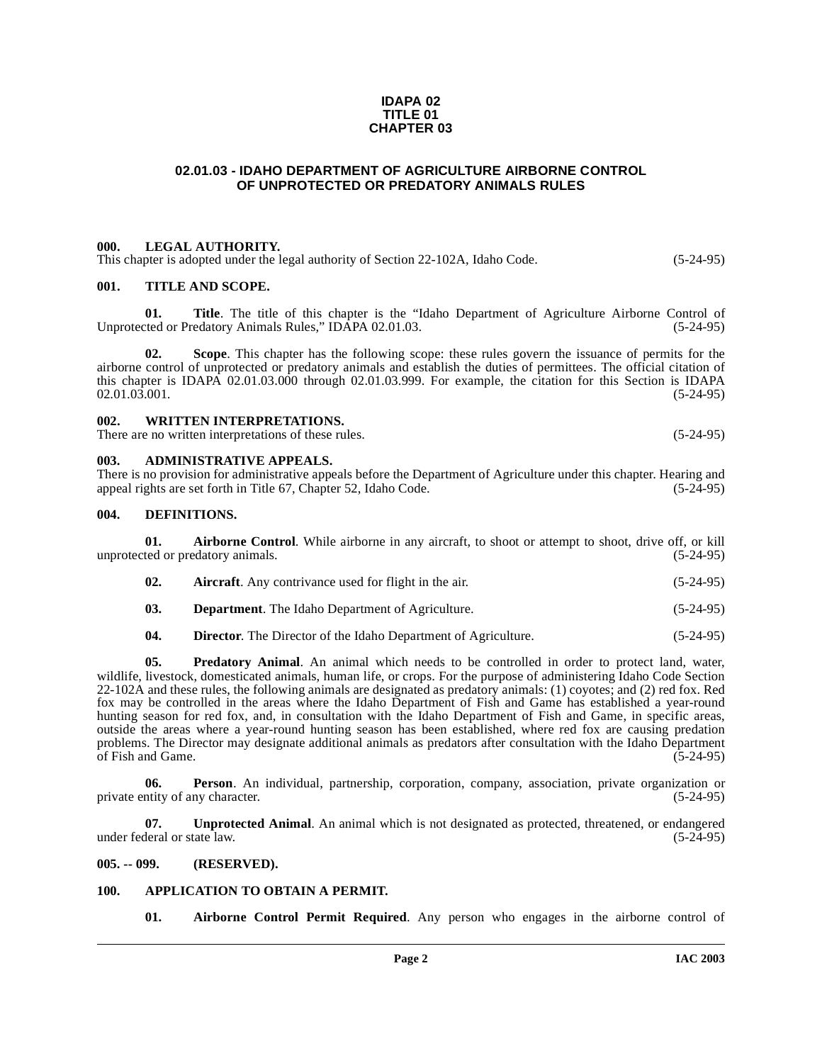#### **IDAPA 02 TITLE 01 CHAPTER 03**

# <span id="page-1-0"></span>**02.01.03 - IDAHO DEPARTMENT OF AGRICULTURE AIRBORNE CONTROL OF UNPROTECTED OR PREDATORY ANIMALS RULES**

#### <span id="page-1-1"></span>**000. LEGAL AUTHORITY.**

This chapter is adopted under the legal authority of Section 22-102A, Idaho Code. (5-24-95)

#### <span id="page-1-2"></span>**001. TITLE AND SCOPE.**

**01.** Title. The title of this chapter is the "Idaho Department of Agriculture Airborne Control of ted or Predatory Animals Rules," IDAPA 02.01.03. (5-24-95) Unprotected or Predatory Animals Rules," IDAPA 02.01.03.

**02. Scope**. This chapter has the following scope: these rules govern the issuance of permits for the airborne control of unprotected or predatory animals and establish the duties of permittees. The official citation of this chapter is IDAPA  $02.01.03.000$  through  $02.01.03.999$ . For example, the citation for this Section is IDAPA  $02.01.03.001$ .  $02.01.03.001.$  (5-24-95)

# <span id="page-1-3"></span>**002. WRITTEN INTERPRETATIONS.**

There are no written interpretations of these rules. (5-24-95)

#### <span id="page-1-4"></span>**003. ADMINISTRATIVE APPEALS.**

There is no provision for administrative appeals before the Department of Agriculture under this chapter. Hearing and appeal rights are set forth in Title 67, Chapter 52, Idaho Code. (5-24-95)

#### <span id="page-1-12"></span><span id="page-1-5"></span>**004. DEFINITIONS.**

**01. Airborne Control**. While airborne in any aircraft, to shoot or attempt to shoot, drive off, or kill unprotected or predatory animals. (5-24-95)

<span id="page-1-10"></span><span id="page-1-8"></span>

| 02. | <b>Aircraft.</b> Any contrivance used for flight in the air. | $(5-24-95)$ |
|-----|--------------------------------------------------------------|-------------|
|     |                                                              |             |

**03. Department**. The Idaho Department of Agriculture. (5-24-95)

<span id="page-1-13"></span>**04. Director**. The Director of the Idaho Department of Agriculture. (5-24-95)

**05. Predatory Animal**. An animal which needs to be controlled in order to protect land, water, wildlife, livestock, domesticated animals, human life, or crops. For the purpose of administering Idaho Code Section 22-102A and these rules, the following animals are designated as predatory animals: (1) coyotes; and (2) red fox. Red fox may be controlled in the areas where the Idaho Department of Fish and Game has established a year-round hunting season for red fox, and, in consultation with the Idaho Department of Fish and Game, in specific areas, outside the areas where a year-round hunting season has been established, where red fox are causing predation problems. The Director may designate additional animals as predators after consultation with the Idaho Department of Fish and Game. (5-24-95)

**06. Person**. An individual, partnership, corporation, company, association, private organization or ntity of any character. (5-24-95) private entity of any character.

<span id="page-1-14"></span>**07. Unprotected Animal**. An animal which is not designated as protected, threatened, or endangered deral or state law. (5-24-95) under federal or state law.

# <span id="page-1-6"></span>**005. -- 099. (RESERVED).**

#### <span id="page-1-7"></span>**100. APPLICATION TO OBTAIN A PERMIT.**

<span id="page-1-11"></span><span id="page-1-9"></span>**01. Airborne Control Permit Required**. Any person who engages in the airborne control of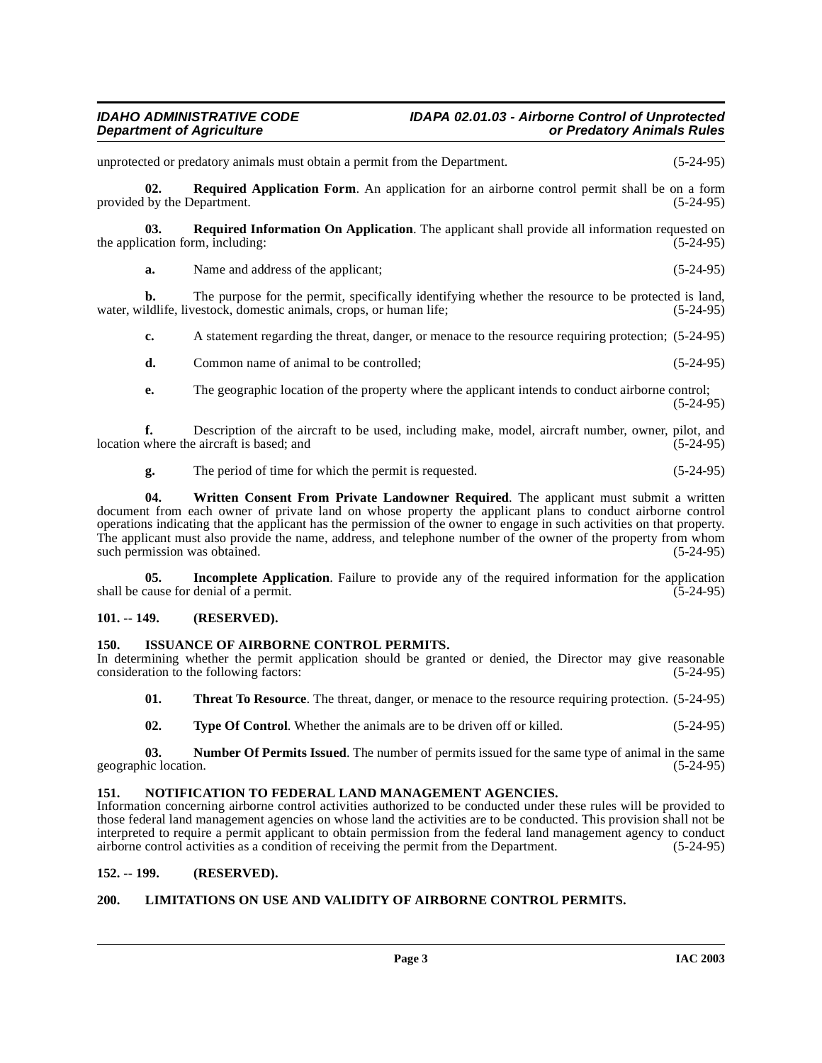# **IDAHO ADMINISTRATIVE CODE IDAPA 02.01.03 - Airborne Control of Unprotected<br>Department of Agriculture control or Predatory Animals Rules Department Or Predatory Animals Rules**

unprotected or predatory animals must obtain a permit from the Department. (5-24-95) **02. Required Application Form**. An application for an airborne control permit shall be on a form provided by the Department. (5-24-95) **03.** Required Information On Application. The applicant shall provide all information requested on cation form, including: (5-24-95) the application form, including: **a.** Name and address of the applicant; (5-24-95) **b.** The purpose for the permit, specifically identifying whether the resource to be protected is land, ildlife, livestock, domestic animals, crops, or human life; (5-24-95) water, wildlife, livestock, domestic animals, crops, or human life; **c.** A statement regarding the threat, danger, or menace to the resource requiring protection; (5-24-95) **d.** Common name of animal to be controlled;  $(5-24-95)$ **e.** The geographic location of the property where the applicant intends to conduct airborne control; (5-24-95) **f.** Description of the aircraft to be used, including make, model, aircraft number, owner, pilot, and where the aircraft is based; and  $(5-24-95)$ location where the aircraft is based; and **g.** The period of time for which the permit is requested. (5-24-95) **04. Written Consent From Private Landowner Required**. The applicant must submit a written document from each owner of private land on whose property the applicant plans to conduct airborne control operations indicating that the applicant has the permission of the owner to engage in such activities on that property. The applicant must also provide the name, address, and telephone number of the owner of the property from whom such permission was obtained. (5-24-95)

**05.** Incomplete Application. Failure to provide any of the required information for the application cause for denial of a permit. (5-24-95) shall be cause for denial of a permit.

# <span id="page-2-0"></span>**101. -- 149. (RESERVED).**

<span id="page-2-9"></span>such permission was obtained.

#### <span id="page-2-5"></span><span id="page-2-1"></span>**150. ISSUANCE OF AIRBORNE CONTROL PERMITS.**

In determining whether the permit application should be granted or denied, the Director may give reasonable consideration to the following factors: (5-24-95) consideration to the following factors:

- <span id="page-2-8"></span>**01. Threat To Resource**. The threat, danger, or menace to the resource requiring protection. (5-24-95)
- **02. Type Of Control**. Whether the animals are to be driven off or killed. (5-24-95)

**03.** Number Of Permits Issued. The number of permits issued for the same type of animal in the same inc location. (5-24-95) geographic location.

#### <span id="page-2-7"></span><span id="page-2-2"></span>**151. NOTIFICATION TO FEDERAL LAND MANAGEMENT AGENCIES.**

Information concerning airborne control activities authorized to be conducted under these rules will be provided to those federal land management agencies on whose land the activities are to be conducted. This provision shall not be interpreted to require a permit applicant to obtain permission from the federal land management agency to conduct airborne control activities as a condition of receiving the permit from the Department. (5-24-95)

# <span id="page-2-3"></span>**152. -- 199. (RESERVED).**

# <span id="page-2-6"></span><span id="page-2-4"></span>**200. LIMITATIONS ON USE AND VALIDITY OF AIRBORNE CONTROL PERMITS.**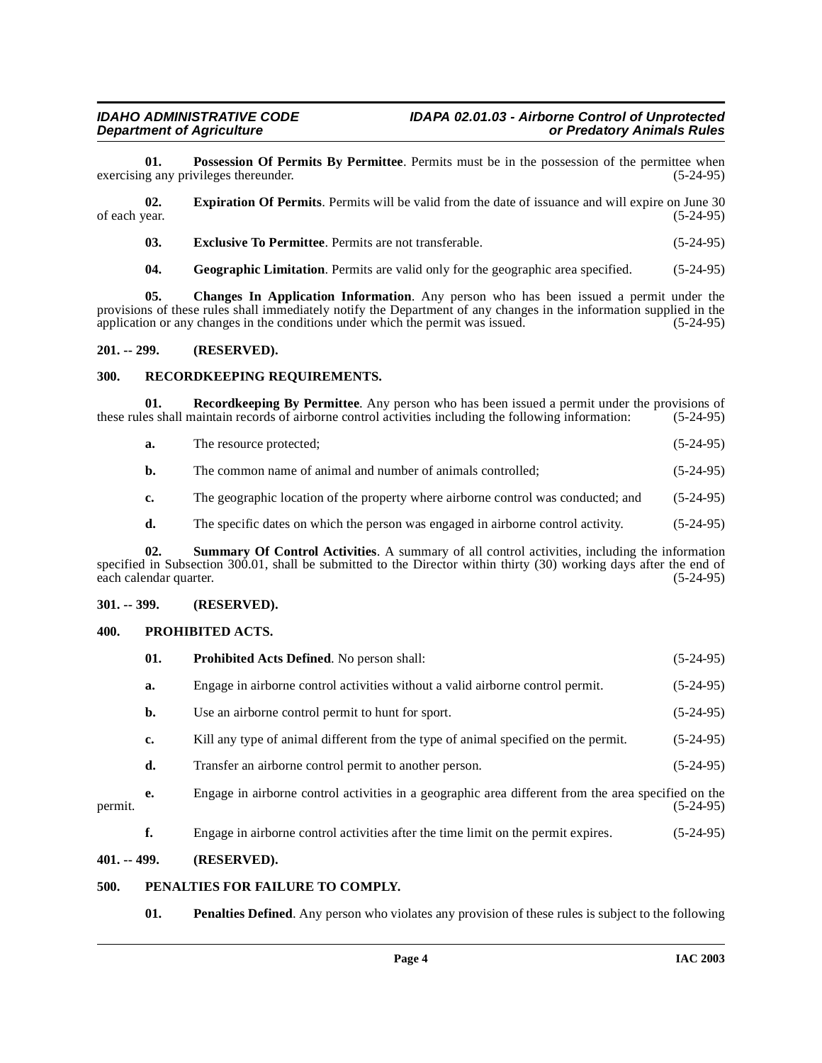**01. Possession Of Permits By Permittee**. Permits must be in the possession of the permittee when g any privileges thereunder. (5-24-95) exercising any privileges thereunder.

**02. Expiration Of Permits**. Permits will be valid from the date of issuance and will expire on June 30 of each year. (5-24-95) of each year. (5-24-95)

<span id="page-3-7"></span><span id="page-3-6"></span>**03. Exclusive To Permittee**. Permits are not transferable. (5-24-95)

**04. Geographic Limitation**. Permits are valid only for the geographic area specified. (5-24-95)

**05. Changes In Application Information**. Any person who has been issued a permit under the provisions of these rules shall immediately notify the Department of any changes in the information supplied in the application or any changes in the conditions under which the permit was issued.  $(5-24-95)$ application or any changes in the conditions under which the permit was issued.

#### <span id="page-3-0"></span>**201. -- 299. (RESERVED).**

### <span id="page-3-10"></span><span id="page-3-1"></span>**300. RECORDKEEPING REQUIREMENTS.**

**01. Recordkeeping By Permittee**. Any person who has been issued a permit under the provisions of these rules shall maintain records of airborne control activities including the following information: (5-24-95)

- **a.** The resource protected;  $(5-24-95)$
- **b.** The common name of animal and number of animals controlled; (5-24-95)

**c.** The geographic location of the property where airborne control was conducted; and  $(5-24-95)$ 

<span id="page-3-11"></span>**d.** The specific dates on which the person was engaged in airborne control activity. (5-24-95)

**02. Summary Of Control Activities**. A summary of all control activities, including the information specified in Subsection 300.01, shall be submitted to the Director within thirty (30) working days after the end of each calendar quarter.  $(5-24-95)$ each calendar quarter.

### <span id="page-3-2"></span>**301. -- 399. (RESERVED).**

#### <span id="page-3-9"></span><span id="page-3-3"></span>**400. PROHIBITED ACTS.**

|         | 01. | Prohibited Acts Defined. No person shall:                                                           | $(5-24-95)$ |
|---------|-----|-----------------------------------------------------------------------------------------------------|-------------|
|         | a.  | Engage in airborne control activities without a valid airborne control permit.                      | $(5-24-95)$ |
|         | b.  | Use an airborne control permit to hunt for sport.                                                   | $(5-24-95)$ |
|         | c.  | Kill any type of animal different from the type of animal specified on the permit.                  | $(5-24-95)$ |
|         | d.  | Transfer an airborne control permit to another person.                                              | $(5-24-95)$ |
| permit. | е.  | Engage in airborne control activities in a geographic area different from the area specified on the | $(5-24-95)$ |
|         | f.  | Engage in airborne control activities after the time limit on the permit expires.                   | $(5-24-95)$ |

# <span id="page-3-4"></span>**401. -- 499. (RESERVED).**

### <span id="page-3-5"></span>**500. PENALTIES FOR FAILURE TO COMPLY.**

<span id="page-3-8"></span>**01. Penalties Defined**. Any person who violates any provision of these rules is subject to the following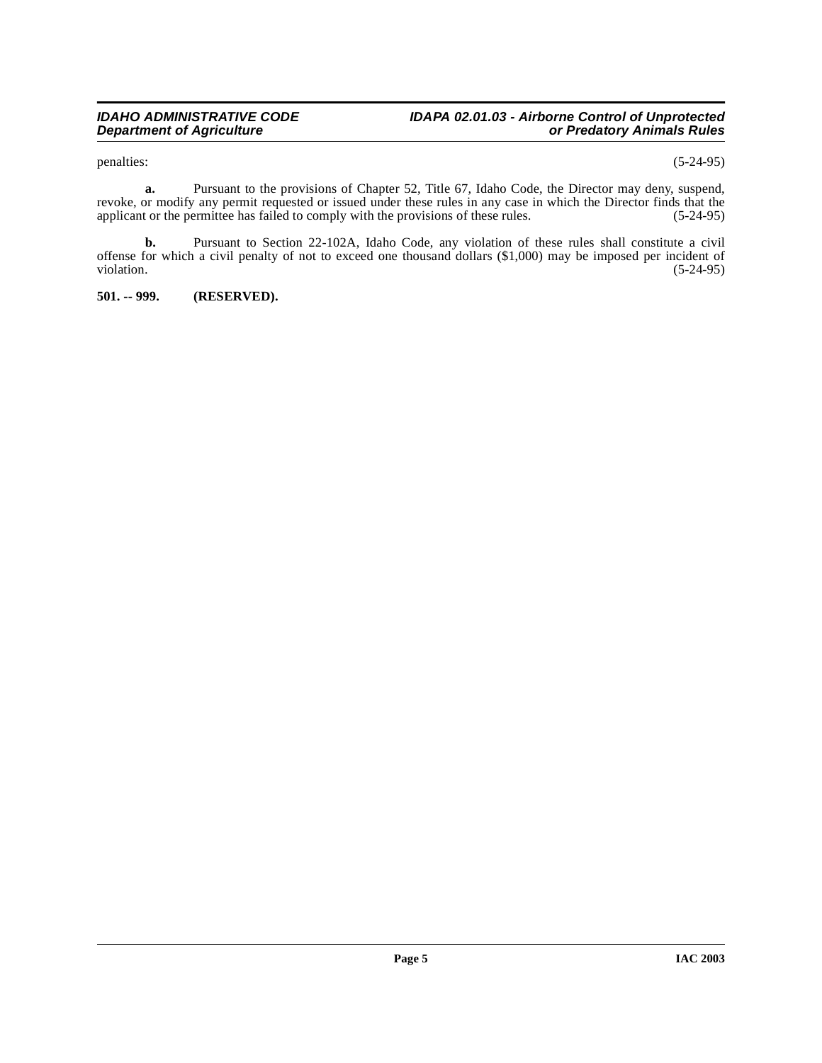## **IDAHO ADMINISTRATIVE CODE IDAPA 02.01.03 - Airborne Control of Unprotected Department of Agriculture or Predatory Animals Rules**

penalties: (5-24-95)

**a.** Pursuant to the provisions of Chapter 52, Title 67, Idaho Code, the Director may deny, suspend, revoke, or modify any permit requested or issued under these rules in any case in which the Director finds that the applicant or the permittee has failed to comply with the provisions of these rules. (5-24-95) applicant or the permittee has failed to comply with the provisions of these rules.

**b.** Pursuant to Section 22-102A, Idaho Code, any violation of these rules shall constitute a civil offense for which a civil penalty of not to exceed one thousand dollars (\$1,000) may be imposed per incident of violation. (5-24-95) violation. (5-24-95)

<span id="page-4-0"></span>**501. -- 999. (RESERVED).**